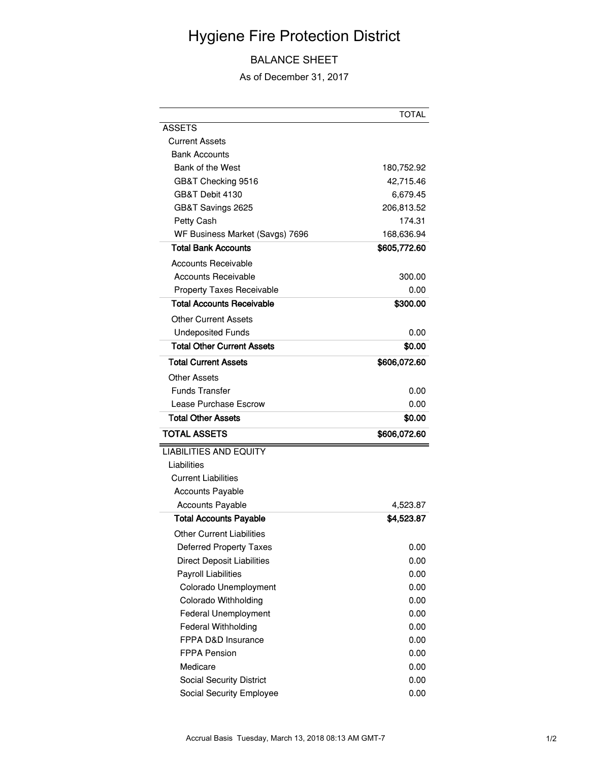## Hygiene Fire Protection District

## BALANCE SHEET

As of December 31, 2017

| 180,752.92   |
|--------------|
| 42,715.46    |
| 6,679.45     |
| 206,813.52   |
| 174.31       |
| 168,636.94   |
| \$605,772.60 |
|              |
| 300.00       |
| 0.00         |
| \$300.00     |
|              |
| 0.00         |
| \$0.00       |
| \$606,072.60 |
|              |
| 0.00         |
| 0.00         |
| \$0.00       |
| \$606,072.60 |
|              |
|              |
|              |
|              |
| 4,523.87     |
| \$4,523.87   |
|              |
| 0.00         |
| 0.00         |
| 0.00         |
| 0.00         |
| 0.00         |
| 0.00         |
| 0.00         |
| 0.00         |
| 0.00         |
| 0.00         |
| 0.00         |
| 0.00         |
|              |